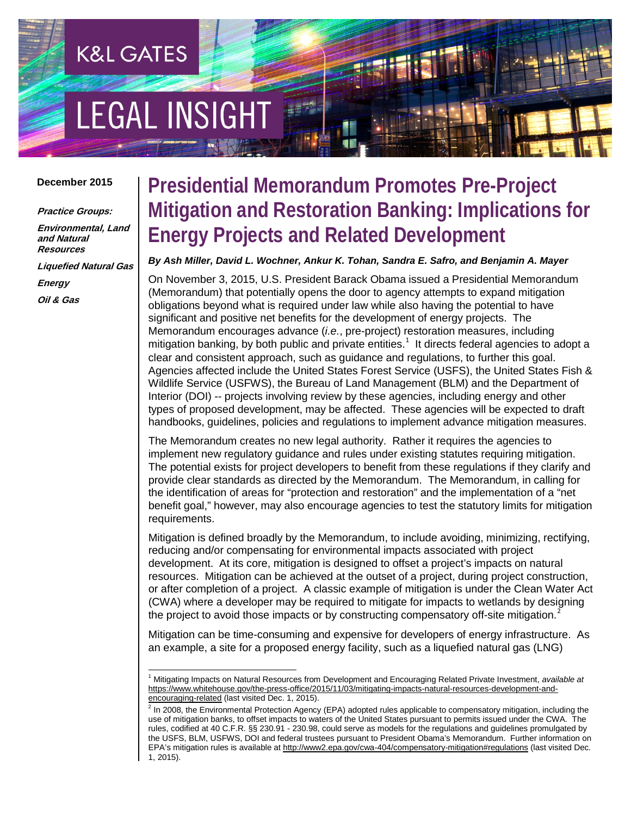# **EGAL INSIGHT**

**K&L GATES** 

#### **December 2015**

**Practice Groups:**

**Environmental, Land and Natural Resources**

**Liquefied Natural Gas**

**Energy Oil & Gas**

### **Presidential Memorandum Promotes Pre-Project Mitigation and Restoration Banking: Implications for Energy Projects and Related Development**

#### *By Ash Miller, David L. Wochner, Ankur K. Tohan, Sandra E. Safro, and Benjamin A. Mayer*

On November 3, 2015, U.S. President Barack Obama issued a Presidential Memorandum (Memorandum) that potentially opens the door to agency attempts to expand mitigation obligations beyond what is required under law while also having the potential to have significant and positive net benefits for the development of energy projects. The Memorandum encourages advance (*i.e.*, pre-project) restoration measures, including mitigation banking, by both public and private entities.<sup>[1](#page-0-0)</sup> It directs federal agencies to adopt a clear and consistent approach, such as guidance and regulations, to further this goal. Agencies affected include the United States Forest Service (USFS), the United States Fish & Wildlife Service (USFWS), the Bureau of Land Management (BLM) and the Department of Interior (DOI) -- projects involving review by these agencies, including energy and other types of proposed development, may be affected. These agencies will be expected to draft handbooks, guidelines, policies and regulations to implement advance mitigation measures.

The Memorandum creates no new legal authority. Rather it requires the agencies to implement new regulatory guidance and rules under existing statutes requiring mitigation. The potential exists for project developers to benefit from these regulations if they clarify and provide clear standards as directed by the Memorandum. The Memorandum, in calling for the identification of areas for "protection and restoration" and the implementation of a "net benefit goal," however, may also encourage agencies to test the statutory limits for mitigation requirements.

Mitigation is defined broadly by the Memorandum, to include avoiding, minimizing, rectifying, reducing and/or compensating for environmental impacts associated with project development. At its core, mitigation is designed to offset a project's impacts on natural resources. Mitigation can be achieved at the outset of a project, during project construction, or after completion of a project. A classic example of mitigation is under the Clean Water Act (CWA) where a developer may be required to mitigate for impacts to wetlands by designing the project to avoid those impacts or by constructing compensatory off-site mitigation.<sup>[2](#page-0-1)</sup>

Mitigation can be time-consuming and expensive for developers of energy infrastructure. As an example, a site for a proposed energy facility, such as a liquefied natural gas (LNG)

<span id="page-0-0"></span> <sup>1</sup> Mitigating Impacts on Natural Resources from Development and Encouraging Related Private Investment, *available at*  [https://www.whitehouse.gov/the-press-office/2015/11/03/mitigating-impacts-natural-resources-development-and](https://www.whitehouse.gov/the-press-office/2015/11/03/mitigating-impacts-natural-resources-development-and-encouraging-related)[encouraging-related](https://www.whitehouse.gov/the-press-office/2015/11/03/mitigating-impacts-natural-resources-development-and-encouraging-related) (last visited Dec. 1, 2015).

<span id="page-0-1"></span><sup>&</sup>lt;sup>2</sup> In 2008, the Environmental Protection Agency (EPA) adopted rules applicable to compensatory mitigation, including the use of mitigation banks, to offset impacts to waters of the United States pursuant to permits issued under the CWA. The rules, codified at 40 C.F.R. §§ 230.91 - 230.98, could serve as models for the regulations and guidelines promulgated by the USFS, BLM, USFWS, DOI and federal trustees pursuant to President Obama's Memorandum. Further information on EPA's mitigation rules is available a[t http://www2.epa.gov/cwa-404/compensatory-mitigation#regulations](http://www2.epa.gov/cwa-404/compensatory-mitigation#regulations) (last visited Dec. 1, 2015).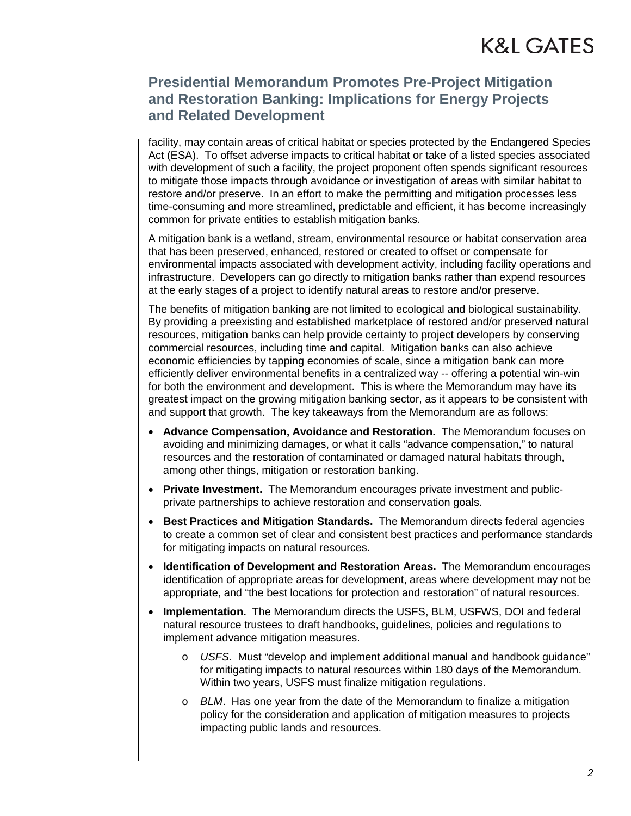### K&L GATES

### **Presidential Memorandum Promotes Pre-Project Mitigation and Restoration Banking: Implications for Energy Projects and Related Development**

facility, may contain areas of critical habitat or species protected by the Endangered Species Act (ESA). To offset adverse impacts to critical habitat or take of a listed species associated with development of such a facility, the project proponent often spends significant resources to mitigate those impacts through avoidance or investigation of areas with similar habitat to restore and/or preserve. In an effort to make the permitting and mitigation processes less time-consuming and more streamlined, predictable and efficient, it has become increasingly common for private entities to establish mitigation banks.

A mitigation bank is a wetland, stream, environmental resource or habitat conservation area that has been preserved, enhanced, restored or created to offset or compensate for environmental impacts associated with development activity, including facility operations and infrastructure. Developers can go directly to mitigation banks rather than expend resources at the early stages of a project to identify natural areas to restore and/or preserve.

The benefits of mitigation banking are not limited to ecological and biological sustainability. By providing a preexisting and established marketplace of restored and/or preserved natural resources, mitigation banks can help provide certainty to project developers by conserving commercial resources, including time and capital. Mitigation banks can also achieve economic efficiencies by tapping economies of scale, since a mitigation bank can more efficiently deliver environmental benefits in a centralized way -- offering a potential win-win for both the environment and development. This is where the Memorandum may have its greatest impact on the growing mitigation banking sector, as it appears to be consistent with and support that growth. The key takeaways from the Memorandum are as follows:

- **Advance Compensation, Avoidance and Restoration.** The Memorandum focuses on avoiding and minimizing damages, or what it calls "advance compensation," to natural resources and the restoration of contaminated or damaged natural habitats through, among other things, mitigation or restoration banking.
- **Private Investment.** The Memorandum encourages private investment and publicprivate partnerships to achieve restoration and conservation goals.
- **Best Practices and Mitigation Standards.** The Memorandum directs federal agencies to create a common set of clear and consistent best practices and performance standards for mitigating impacts on natural resources.
- **Identification of Development and Restoration Areas.** The Memorandum encourages identification of appropriate areas for development, areas where development may not be appropriate, and "the best locations for protection and restoration" of natural resources.
- **Implementation.** The Memorandum directs the USFS, BLM, USFWS, DOI and federal natural resource trustees to draft handbooks, guidelines, policies and regulations to implement advance mitigation measures.
	- o *USFS*. Must "develop and implement additional manual and handbook guidance" for mitigating impacts to natural resources within 180 days of the Memorandum. Within two years, USFS must finalize mitigation regulations.
	- o *BLM*. Has one year from the date of the Memorandum to finalize a mitigation policy for the consideration and application of mitigation measures to projects impacting public lands and resources.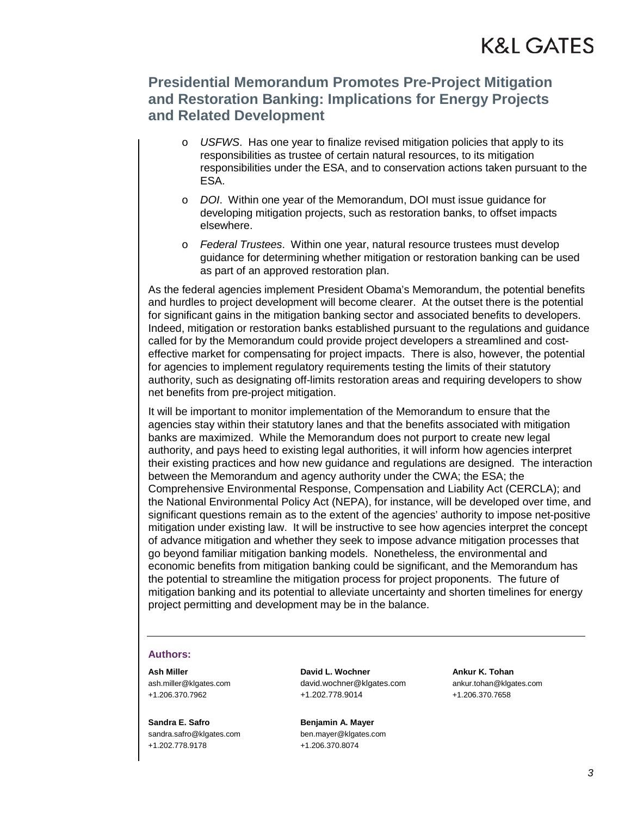### K&L GATES

### **Presidential Memorandum Promotes Pre-Project Mitigation and Restoration Banking: Implications for Energy Projects and Related Development**

- o *USFWS*. Has one year to finalize revised mitigation policies that apply to its responsibilities as trustee of certain natural resources, to its mitigation responsibilities under the ESA, and to conservation actions taken pursuant to the ESA.
- o *DOI*. Within one year of the Memorandum, DOI must issue guidance for developing mitigation projects, such as restoration banks, to offset impacts elsewhere.
- o *Federal Trustees*. Within one year, natural resource trustees must develop guidance for determining whether mitigation or restoration banking can be used as part of an approved restoration plan.

As the federal agencies implement President Obama's Memorandum, the potential benefits and hurdles to project development will become clearer. At the outset there is the potential for significant gains in the mitigation banking sector and associated benefits to developers. Indeed, mitigation or restoration banks established pursuant to the regulations and guidance called for by the Memorandum could provide project developers a streamlined and costeffective market for compensating for project impacts. There is also, however, the potential for agencies to implement regulatory requirements testing the limits of their statutory authority, such as designating off-limits restoration areas and requiring developers to show net benefits from pre-project mitigation.

It will be important to monitor implementation of the Memorandum to ensure that the agencies stay within their statutory lanes and that the benefits associated with mitigation banks are maximized. While the Memorandum does not purport to create new legal authority, and pays heed to existing legal authorities, it will inform how agencies interpret their existing practices and how new guidance and regulations are designed. The interaction between the Memorandum and agency authority under the CWA; the ESA; the Comprehensive Environmental Response, Compensation and Liability Act (CERCLA); and the National Environmental Policy Act (NEPA), for instance, will be developed over time, and significant questions remain as to the extent of the agencies' authority to impose net-positive mitigation under existing law. It will be instructive to see how agencies interpret the concept of advance mitigation and whether they seek to impose advance mitigation processes that go beyond familiar mitigation banking models. Nonetheless, the environmental and economic benefits from mitigation banking could be significant, and the Memorandum has the potential to streamline the mitigation process for project proponents. The future of mitigation banking and its potential to alleviate uncertainty and shorten timelines for energy project permitting and development may be in the balance.

#### **Authors:**

**Ash Miller**  ash.miller@klgates.com +1.206.370.7962

**Sandra E. Safro**  sandra.safro@klgates.com +1.202.778.9178

**David L. Wochner** david.wochner@klgates.com +1.202.778.9014

**Benjamin A. Mayer**  ben.mayer@klgates.com +1.206.370.8074

**Ankur K. Tohan**  ankur.tohan@klgates.com +1.206.370.7658